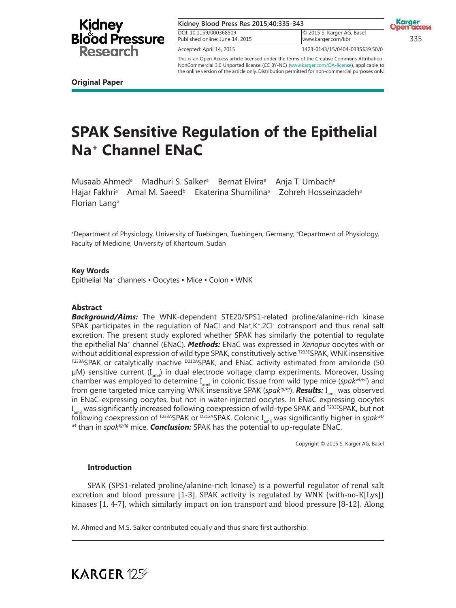

| Kidney Blood Press Res 2015;40:335-343                    |                                                  | <b>Open</b> acc |
|-----------------------------------------------------------|--------------------------------------------------|-----------------|
| DOI: 10.1159/000368509<br>Published online: June 14, 2015 | © 2015 S. Karger AG, Basel<br>www.karger.com/kbr | 335             |
| Accepted: April 14, 2015                                  | 1423-0143/15/0404-0335\$39.50/0                  |                 |

This is an Open Access article licensed under the terms of the Creative Commons Attribution-NonCommercial 3.0 Unported license (CC BY-NC) (www.karger.com/OA-license), applicable to the online version of the article only. Distribution permitted for non-commercial purposes only.

**Original Paper**

# **SPAK Sensitive Regulation of the Epithelial Na<sup>+</sup> Channel ENaC**

Musaab Ahmed<sup>a</sup> Madhuri S. Salker<sup>a</sup> Bernat Elvira<sup>a</sup> Anja T. Umbach<sup>a</sup> Hajar Fakhri<sup>a</sup> Amal M. Saeed<sup>b</sup> Ekaterina Shumilina<sup>a</sup> Zohreh Hosseinzadeh<sup>a</sup> Florian Lang<sup>a</sup>

aDepartment of Physiology, University of Tuebingen, Tuebingen, Germany; <sup>b</sup>Department of Physiology, Faculty of Medicine, University of Khartoum, Sudan

**Key Words**

Epithelial Na<sup>+</sup> channels • Oocytes • Mice • Colon • WNK

### **Abstract**

*Background/Aims:* The WNK-dependent STE20/SPS1-related proline/alanine-rich kinase SPAK participates in the regulation of NaCl and Na<sup>+</sup>,K<sup>+</sup>,2Cl<sup>-</sup> cotransport and thus renal salt excretion. The present study explored whether SPAK has similarly the potential to regulate the epithelial Na<sup>+</sup> channel (ENaC). *Methods:* ENaC was expressed in *Xenopus* oocytes with or without additional expression of wild type SPAK, constitutively active T233ESPAK, WNK insensitive  $T^{233}$ ASPAK or catalytically inactive  $D^{212}$ ASPAK, and ENaC activity estimated from amiloride (50  $\mu$ M) sensitive current (I<sub>amil</sub>) in dual electrode voltage clamp experiments. Moreover, Ussing chamber was employed to determine I<sub>amil</sub> in colonic tissue from wild type mice (*spak<sup>wt/wt*)</sup> and from gene targeted mice carrying WNK insensitive SPAK (*spak<sup>tg/tg</sup>*). **Results:** I<sub>amil</sub> was observed in ENaC-expressing oocytes, but not in water-injected oocytes. In ENaC expressing oocytes I<sub>amil</sub> was significantly increased following coexpression of wild-type SPAK and <sup>т233E</sup>SPAK, but not following coexpression of <sup>1233A</sup>SPAK or <sup>D212A</sup>SPAK. Colonic I<sub>amil</sub> was significantly higher in *spak<sup>wt/</sup> wt* than in *spaktg/tg* mice. *Conclusion:* SPAK has the potential to up-regulate ENaC.

Copyright © 2015 S. Karger AG, Basel

### **Introduction**

**KARGER 125** 

SPAK (SPS1-related proline/alanine-rich kinase) is a powerful regulator of renal salt excretion and blood pressure [1-3]. SPAK activity is regulated by WNK (with-no-K[Lys]) kinases [1, 4-7], which similarly impact on ion transport and blood pressure [8-12]. Along

M. Ahmed and M.S. Salker contributed equally and thus share first authorship.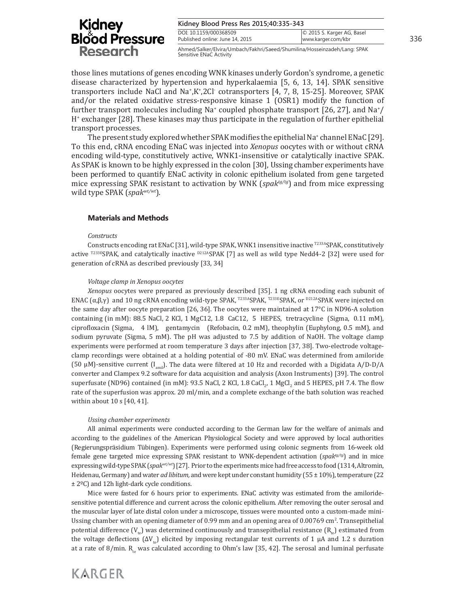#### **Kidney Blood Press Res 2015;40:335-343**

DOI: 10.1159/000368509 Published online: June 14, 2015

Ahmed/Salker/Elvira/Umbach/Fakhri/Saeed/Shumilina/Hosseinzadeh/Lang: SPAK Sensitive ENaC Activity

© 2015 S. Karger AG, Basel

those lines mutations of genes encoding WNK kinases underly Gordon's syndrome, a genetic disease characterized by hypertension and hyperkalaemia [5, 6, 13, 14]. SPAK sensitive transporters include NaCl and Na<sup>+</sup>,K<sup>+</sup>,2Cl<sup>-</sup> cotransporters [4, 7, 8, 15-25]. Moreover, SPAK and/or the related oxidative stress-responsive kinase 1 (OSR1) modify the function of further transport molecules including Na<sup>+</sup> coupled phosphate transport [26, 27], and Na<sup>+</sup>/ H+ exchanger [28]. These kinases may thus participate in the regulation of further epithelial transport processes.

The present study explored whether SPAK modifies the epithelial Na+channel ENaC [29]. To this end, cRNA encoding ENaC was injected into *Xenopus* oocytes with or without cRNA encoding wild-type, constitutively active, WNK1-insensitive or catalytically inactive SPAK. As SPAK is known to be highly expressed in the colon [30], Ussing chamber experiments have been performed to quantify ENaC activity in colonic epithelium isolated from gene targeted mice expressing SPAK resistant to activation by WNK (*spaktg/tg*) and from mice expressing wild type SPAK (*spakwt/wt*).

# **Materials and Methods**

### *Constructs*

Constructs encoding rat ENaC [31], wild-type SPAK, WNK1 insensitive inactive T233ASPAK, constitutively active <sup>T233E</sup>SPAK, and catalytically inactive <sup>D212A</sup>SPAK [7] as well as wild type Nedd4-2 [32] were used for generation of cRNA as described previously [33, 34]

### *Voltage clamp in Xenopus oocytes*

*Xenopus* oocytes were prepared as previously described [35]. 1 ng cRNA encoding each subunit of ENAC (α,β,γ) and 10 ng cRNA encoding wild-type SPAK, <sup>T233A</sup>SPAK, <sup>T233E</sup>SPAK, or <sup>D212A</sup>SPAK were injected on the same day after oocyte preparation [26, 36]. The oocytes were maintained at 17°C in ND96-A solution containing (in mM): 88.5 NaCl, 2 KCl, 1 MgC12, 1.8 CaC12, 5 HEPES, tretracycline (Sigma, 0.11 mM), ciprofloxacin (Sigma, 4 lM), gentamycin (Refobacin, 0.2 mM), theophylin (Euphylong, 0.5 mM), and sodium pyruvate (Sigma, 5 mM). The pH was adjusted to 7.5 by addition of NaOH. The voltage clamp experiments were performed at room temperature 3 days after injection [37, 38]. Two-electrode voltageclamp recordings were obtained at a holding potential of -80 mV. ENaC was determined from amiloride (50 μM)-sensitive current  $(I_{\text{amil}})$ . The data were filtered at 10 Hz and recorded with a Digidata A/D-D/A converter and Clampex 9.2 software for data acquisition and analysis (Axon Instruments) [39]. The control superfusate (ND96) contained (in mM): 93.5 NaCl, 2 KCl, 1.8 CaCl<sub>2</sub>, 1 MgCl<sub>2</sub> and 5 HEPES, pH 7.4. The flow rate of the superfusion was approx. 20 ml/min, and a complete exchange of the bath solution was reached within about 10 s [40, 41].

### *Ussing chamber experiments*

All animal experiments were conducted according to the German law for the welfare of animals and according to the guidelines of the American Physiological Society and were approved by local authorities (Regierungspräsidium Tübingen). Experiments were performed using colonic segments from 16-week old female gene targeted mice expressing SPAK resistant to WNK-dependent activation (*spaktg/tg*) and in mice expressing wild-type SPAK (*spakwt/wt*) [27]. Prior to the experiments mice had free access to food (1314, Altromin, Heidenau, Germany) and water *ad libitum,* and were kept under constant humidity (55 ± 10%), temperature (22 ± 2ºC) and 12h light-dark cycle conditions.

Mice were fasted for 6 hours prior to experiments. ENaC activity was estimated from the amiloridesensitive potential difference and current across the colonic epithelium. After removing the outer serosal and the muscular layer of late distal colon under a microscope, tissues were mounted onto a custom-made mini-Ussing chamber with an opening diameter of 0.99 mm and an opening area of 0.00769 cm<sup>2</sup>. Transepithelial potential difference  $(V_{1e})$  was determined continuously and transepithelial resistance  $(R_{1e})$  estimated from the voltage deflections  $(ΔV_{1e})$  elicited by imposing rectangular test currents of 1 μA and 1.2 s duration at a rate of 8/min. R<sub>te</sub> was calculated according to Ohm's law [35, 42]. The serosal and luminal perfusate

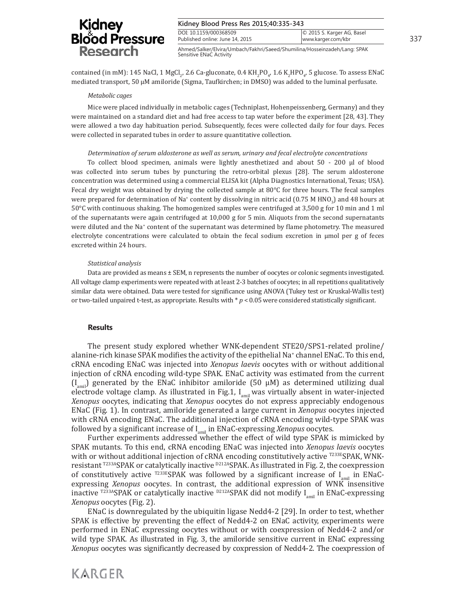| Kidney Blood Press Res 2015;40:335-343                                    |                                                  |     |
|---------------------------------------------------------------------------|--------------------------------------------------|-----|
| DOI: 10.1159/000368509<br>Published online: June 14, 2015                 | © 2015 S. Karger AG, Basel<br>www.karger.com/kbr | 337 |
| Ahmed/Salker/Elvira/Umbach/Fakhri/Saeed/Shumilina/Hosseinzadeh/Lang: SPAK |                                                  |     |

contained (in mM): 145 NaCl, 1 MgCl<sub>2</sub>, 2.6 Ca-gluconate, 0.4 KH<sub>2</sub>PO<sub>4</sub>, 1.6 K<sub>2</sub>HPO<sub>4</sub>, 5 glucose. To assess ENaC mediated transport, 50  $\mu$ M amiloride (Sigma, Taufkirchen; in DMSO) was added to the luminal perfusate.

Sensitive ENaC Activity

#### *Metabolic cages*

Mice were placed individually in metabolic cages (Techniplast, Hohenpeissenberg, Germany) and they were maintained on a standard diet and had free access to tap water before the experiment [28, 43]. They were allowed a two day habituation period. Subsequently, feces were collected daily for four days. Feces were collected in separated tubes in order to assure quantitative collection.

#### *Determination of serum aldosterone as well as serum, urinary and fecal electrolyte concentrations*

To collect blood specimen, animals were lightly anesthetized and about 50 - 200 μl of blood was collected into serum tubes by puncturing the retro-orbital plexus [28]. The serum aldosterone concentration was determined using a commercial ELISA kit (Alpha Diagnostics International, Texas; USA). Fecal dry weight was obtained by drying the collected sample at 80°C for three hours. The fecal samples were prepared for determination of Na<sup>+</sup> content by dissolving in nitric acid (0.75 M HNO<sub>3</sub>) and 48 hours at 50°C with continuous shaking. The homogenized samples were centrifuged at 3,500 g for 10 min and 1 ml of the supernatants were again centrifuged at 10,000 g for 5 min. Aliquots from the second supernatants were diluted and the Na<sup>+</sup> content of the supernatant was determined by flame photometry. The measured electrolyte concentrations were calculated to obtain the fecal sodium excretion in µmol per g of feces excreted within 24 hours.

#### *Statistical analysis*

Data are provided as means ± SEM, n represents the number of oocytes or colonic segments investigated. All voltage clamp experiments were repeated with at least 2-3 batches of oocytes; in all repetitions qualitatively similar data were obtained. Data were tested for significance using ANOVA (Tukey test or Kruskal-Wallis test) or two-tailed unpaired t-test, as appropriate. Results with \* *p* < 0.05 were considered statistically significant.

#### **Results**

**KARGER** 

The present study explored whether WNK-dependent STE20/SPS1-related proline/ alanine-rich kinase SPAK modifies the activity of the epithelial Na<sup>+</sup> channel ENaC. To this end, cRNA encoding ENaC was injected into *Xenopus laevis* oocytes with or without additional injection of cRNA encoding wild-type SPAK. ENaC activity was estimated from the current  $(I_{\text{amil}})$  generated by the ENaC inhibitor amiloride (50 µM) as determined utilizing dual electrode voltage clamp. As illustrated in Fig.1,  $I_{\text{amil}}$  was virtually absent in water-injected *Xenopus* oocytes, indicating that *Xenopus* oocytes do not express appreciably endogenous ENaC (Fig. 1). In contrast, amiloride generated a large current in *Xenopus* oocytes injected with cRNA encoding ENaC. The additional injection of cRNA encoding wild-type SPAK was followed by a significant increase of I<sub>amil</sub> in ENaC-expressing *Xenopus* oocytes.

Further experiments addressed whether the effect of wild type SPAK is mimicked by SPAK mutants. To this end, cRNA encoding ENaC was injected into *Xenopus laevis* oocytes with or without additional injection of cRNA encoding constitutively active <sup>T233E</sup>SPAK, WNKresistant T233ASPAK or catalytically inactive <sup>D212A</sup>SPAK. As illustrated in Fig. 2, the coexpression of constitutively active  $T^{233E}$ SPAK was followed by a significant increase of I<sub>amil</sub> in ENaCexpressing *Xenopus* oocytes. In contrast, the additional expression of WNK insensitive inactive <sup>T233A</sup>SPAK or catalytically inactive <sup>D212A</sup>SPAK did not modify  $I_{\text{unit}}$  in ENaC-expressing *Xenopus* oocytes (Fig. 2).

ENaC is downregulated by the ubiquitin ligase Nedd4-2 [29]. In order to test, whether SPAK is effective by preventing the effect of Nedd4-2 on ENaC activity, experiments were performed in ENaC expressing oocytes without or with coexpression of Nedd4-2 and/or wild type SPAK. As illustrated in Fig. 3, the amiloride sensitive current in ENaC expressing *Xenopus* oocytes was significantly decreased by coxpression of Nedd4-2. The coexpression of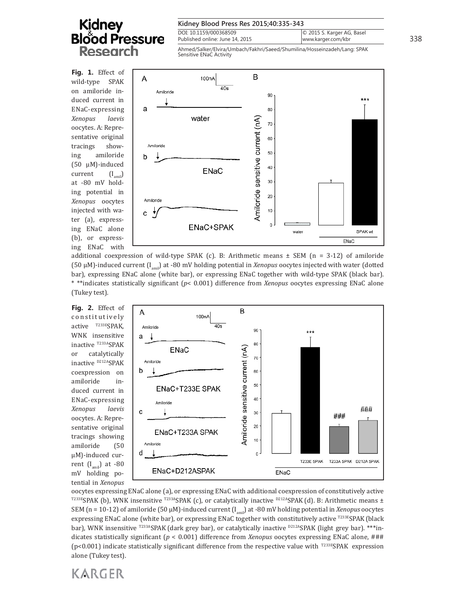| Kidney Blood Press Res 2015;40:335-343           |     |
|--------------------------------------------------|-----|
| © 2015 S. Karger AG, Basel<br>www.karger.com/kbr | 338 |
|                                                  |     |

Ahmed/Salker/Elvira/Umbach/Fakhri/Saeed/Shumilina/Hosseinzadeh/Lang: SPAK Sensitive ENaC Activity

**Fig. 1.** Effect of wild-type SPAK on amiloride induced current in ENaC-expressing *Xenopus laevis* oocytes. A: Representative original tracings showing amiloride (50 µM)-induced  $current \t(I_{\text{max}})$ at -80 mV holding potential in *Xenopus* oocytes injected with water (a), expressing ENaC alone (b), or expressing ENaC with



additional coexpression of wild-type SPAK (c). B: Arithmetic means  $\pm$  SEM (n = 3-12) of amiloride (50  $\mu$ M)-induced current ( $I_{\text{amil}}$ ) at -80 mV holding potential in *Xenopus* oocytes injected with water (dotted bar), expressing ENaC alone (white bar), or expressing ENaC together with wild-type SPAK (black bar). \* \*\*indicates statistically significant (*p*< 0.001) difference from *Xenopus* oocytes expressing ENaC alone (Tukey test).

**Fig. 2.** Effect of constitutively active T233ESPAK. WNK insensitive inactive T233ASPAK or catalytically inactive <sup>D212A</sup>SPAK coexpression on amiloride induced current in ENaC-expressing *Xenopus laevis* oocytes. A: Representative original tracings showing amiloride (50 µM)-induced current  $(I<sub>amil</sub>)$  at -80 mV holding potential in *Xenopus* 



oocytes expressing ENaC alone (a), or expressing ENaC with additional coexpression of constitutively active  $T^{233E}$ SPAK (b), WNK insensitive  $T^{233A}$ SPAK (c), or catalytically inactive  $D^{212A}$ SPAK (d). B: Arithmetic means  $\pm$ SEM (n = 10-12) of amiloride (50 µM)-induced current (Iamil) at -80 mV holding potential in *Xenopus* oocytes expressing ENaC alone (white bar), or expressing ENaC together with constitutively active T233ESPAK (black bar), WNK insensitive <sup>T233A</sup>SPAK (dark grey bar), or catalytically inactive <sup>D212A</sup>SPAK (light grey bar). \*\*\*indicates statistically significant (*p* < 0.001) difference from *Xenopus* oocytes expressing ENaC alone, ### (p<0.001) indicate statistically significant difference from the respective value with  $T^{233E}SPAK$  expression alone (Tukey test).

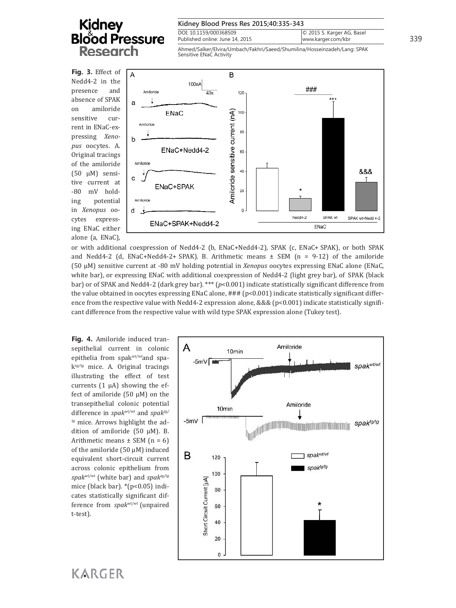| Kidney Blood Press Res 2015;40:335-343                                                               |                                                  |     |
|------------------------------------------------------------------------------------------------------|--------------------------------------------------|-----|
| DOI: 10.1159/000368509<br>Published online: June 14, 2015                                            | © 2015 S. Karger AG, Basel<br>www.karger.com/kbr | 339 |
| Ahmed/Salker/Elvira/Umbach/Fakhri/Saeed/Shumilina/Hosseinzadeh/Lang: SPAK<br>Sensitive ENaC Activity |                                                  |     |

**Fig. 3.** Effect of Nedd4-2 in the presence and absence of SPAK on amiloride sensitive current in ENaC-expressing *Xenopus* oocytes. A. Original tracings of the amiloride (50 µM) sensitive current at -80 mV holding potential in *Xenopus* oocytes expressing ENaC either alone (a, ENaC),



or with additional coexpression of Nedd4-2 (b, ENaC+Nedd4-2), SPAK (c, ENaC+ SPAK), or both SPAK and Nedd4-2 (d, ENaC+Nedd4-2+ SPAK). B. Arithmetic means  $\pm$  SEM (n = 9-12) of the amiloride (50 µM) sensitive current at -80 mV holding potential in *Xenopus* oocytes expressing ENaC alone (ENaC, white bar), or expressing ENaC with additional coexpression of Nedd4-2 (light grey bar), of SPAK (black bar) or of SPAK and Nedd4-2 (dark grey bar). \*\*\* (*p*<0.001) indicate statistically significant difference from the value obtained in oocytes expressing ENaC alone,  $\# \# \{p<0.001\}$  indicate statistically significant difference from the respective value with Nedd4-2 expression alone, &&& (p<0.001) indicate statistically significant difference from the respective value with wild type SPAK expression alone (Tukey test).

**Fig. 4.** Amiloride induced transepithelial current in colonic epithelia from spak*wt/wt*and spak *tg/tg* mice. A. Original tracings illustrating the effect of test currents  $(1 \mu A)$  showing the effect of amiloride (50  $\mu$ M) on the transepithelial colonic potential difference in *spakwt/wt* and *spaktg/ tg* mice. Arrows highlight the addition of amiloride (50 µM). B. Arithmetic means  $\pm$  SEM (n = 6) of the amiloride (50 µM) induced equivalent short-circuit current across colonic epithelium from *spakwt/wt* (white bar) and *spaktg/tg* mice (black bar). \*(p<0.05) indicates statistically significant difference from *spakwt/wt* (unpaired t-test).



**KARGER**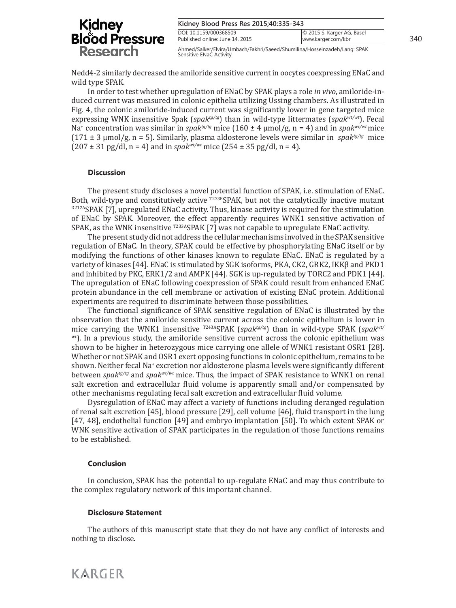| Kidney Blood Press Res 2015;40:335-343                                    |                                                  |     |
|---------------------------------------------------------------------------|--------------------------------------------------|-----|
| DOI: 10.1159/000368509<br>Published online: June 14, 2015                 | © 2015 S. Karger AG, Basel<br>www.karger.com/kbr | 340 |
| Ahmed/Salker/Elvira/Umbach/Fakhri/Saeed/Shumilina/Hosseinzadeh/Lang: SPAK |                                                  |     |

Nedd4-2 similarly decreased the amiloride sensitive current in oocytes coexpressing ENaC and wild type SPAK.

Sensitive ENaC Activity

In order to test whether upregulation of ENaC by SPAK plays a role *in vivo*, amiloride-induced current was measured in colonic epithelia utilizing Ussing chambers. As illustrated in Fig. 4, the colonic amiloride-induced current was significantly lower in gene targeted mice expressing WNK insensitive Spak (*spaktg/tg*) than in wild-type littermates (*spakwt/wt*). Fecal Na<sup>+</sup> concentration was similar in *spaktg/tg* mice (160 ± 4 µmol/g, n = 4) and in *spakwt/wt* mice  $(171 \pm 3 \text{ \mu m})/\text{g}$ , n = 5). Similarly, plasma aldosterone levels were similar in *spak<sup>tg/tg</sup>* mice  $(207 \pm 31 \text{ pg/dl}, n = 4)$  and in *spak<sup>wt/wt</sup>* mice  $(254 \pm 35 \text{ pg/dl}, n = 4)$ .

#### **Discussion**

The present study discloses a novel potential function of SPAK, i.e. stimulation of ENaC. Both, wild-type and constitutively active  $\frac{1}{1233E}$ SPAK, but not the catalytically inactive mutant D212ASPAK [7], upregulated ENaC activity. Thus, kinase activity is required for the stimulation of ENaC by SPAK. Moreover, the effect apparently requires WNK1 sensitive activation of SPAK, as the WNK insensitive <sup>T233A</sup>SPAK [7] was not capable to upregulate ENaC activity.

The present study did not address the cellular mechanisms involved in the SPAK sensitive regulation of ENaC. In theory, SPAK could be effective by phosphorylating ENaC itself or by modifying the functions of other kinases known to regulate ENaC. ENaC is regulated by a variety of kinases [44]. ENaC is stimulated by SGK isoforms, PKA, CK2, GRK2, IKKβ and PKD1 and inhibited by PKC, ERK1/2 and AMPK [44]. SGK is up-regulated by TORC2 and PDK1 [44]. The upregulation of ENaC following coexpression of SPAK could result from enhanced ENaC protein abundance in the cell membrane or activation of existing ENaC protein. Additional experiments are required to discriminate between those possibilities.

The functional significance of SPAK sensitive regulation of ENaC is illustrated by the observation that the amiloride sensitive current across the colonic epithelium is lower in mice carrying the WNK1 insensitive T243ASPAK (*spaktg/tg*) than in wild-type SPAK (*spakwt/ wt*). In a previous study, the amiloride sensitive current across the colonic epithelium was shown to be higher in heterozygous mice carrying one allele of WNK1 resistant OSR1 [28]. Whether or not SPAK and OSR1 exert opposing functions in colonic epithelium, remains to be shown. Neither fecal Na<sup>+</sup> excretion nor aldosterone plasma levels were significantly different between *spaktg/tg* and *spakwt/wt* mice. Thus, the impact of SPAK resistance to WNK1 on renal salt excretion and extracellular fluid volume is apparently small and/or compensated by other mechanisms regulating fecal salt excretion and extracellular fluid volume.

Dysregulation of ENaC may affect a variety of functions including deranged regulation of renal salt excretion [45], blood pressure [29], cell volume [46], fluid transport in the lung [47, 48], endothelial function [49] and embryo implantation [50]. To which extent SPAK or WNK sensitive activation of SPAK participates in the regulation of those functions remains to be established.

#### **Conclusion**

In conclusion, SPAK has the potential to up-regulate ENaC and may thus contribute to the complex regulatory network of this important channel.

#### **Disclosure Statement**

The authors of this manuscript state that they do not have any conflict of interests and nothing to disclose.

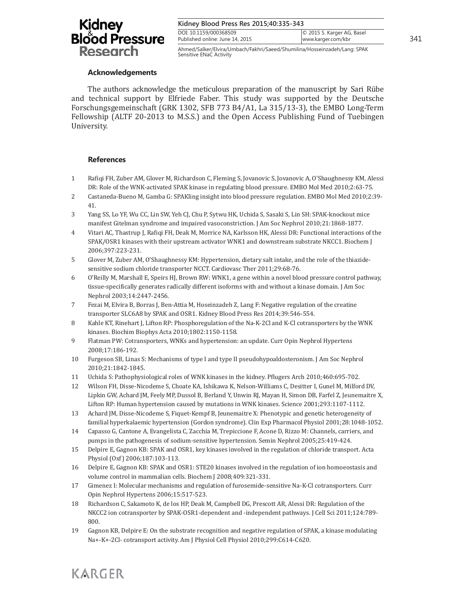| Kidney Blood Press Res 2015;40:335-343                    |                                                  |     |
|-----------------------------------------------------------|--------------------------------------------------|-----|
| DOI: 10.1159/000368509<br>Published online: June 14, 2015 | © 2015 S. Karger AG, Basel<br>www.karger.com/kbr | 341 |

Ahmed/Salker/Elvira/Umbach/Fakhri/Saeed/Shumilina/Hosseinzadeh/Lang: SPAK Sensitive ENaC Activity

### **Acknowledgements**

The authors acknowledge the meticulous preparation of the manuscript by Sari Rübe and technical support by Elfriede Faber. This study was supported by the Deutsche Forschungsgemeinschaft (GRK 1302, SFB 773 B4/A1, La 315/13-3), the EMBO Long-Term Fellowship (ALTF 20-2013 to M.S.S.) and the Open Access Publishing Fund of Tuebingen University.

# **References**

- 1 Rafiqi FH, Zuber AM, Glover M, Richardson C, Fleming S, Jovanovic S, Jovanovic A, O'Shaughnessy KM, Alessi DR: Role of the WNK-activated SPAK kinase in regulating blood pressure. EMBO Mol Med 2010;2:63-75.
- 2 Castaneda-Bueno M, Gamba G: SPAKling insight into blood pressure regulation. EMBO Mol Med 2010;2:39- 41.
- 3 Yang SS, Lo YF, Wu CC, Lin SW, Yeh CJ, Chu P, Sytwu HK, Uchida S, Sasaki S, Lin SH: SPAK-knockout mice manifest Gitelman syndrome and impaired vasoconstriction. J Am Soc Nephrol 2010;21:1868-1877.
- 4 Vitari AC, Thastrup J, Rafiqi FH, Deak M, Morrice NA, Karlsson HK, Alessi DR: Functional interactions of the SPAK/OSR1 kinases with their upstream activator WNK1 and downstream substrate NKCC1. Biochem J 2006;397:223-231.
- 5 Glover M, Zuber AM, O'Shaughnessy KM: Hypertension, dietary salt intake, and the role of the thiazidesensitive sodium chloride transporter NCCT. Cardiovasc Ther 2011;29:68-76.
- 6 O'Reilly M, Marshall E, Speirs HJ, Brown RW: WNK1, a gene within a novel blood pressure control pathway, tissue-specifically generates radically different isoforms with and without a kinase domain. J Am Soc Nephrol 2003;14:2447-2456.
- 7 Fezai M, Elvira B, Borras J, Ben-Attia M, Hoseinzadeh Z, Lang F: Negative regulation of the creatine transporter SLC6A8 by SPAK and OSR1. Kidney Blood Press Res 2014;39:546-554.
- 8 Kahle KT, Rinehart J, Lifton RP: Phosphoregulation of the Na-K-2Cl and K-Cl cotransporters by the WNK kinases. Biochim Biophys Acta 2010;1802:1150-1158.
- 9 Flatman PW: Cotransporters, WNKs and hypertension: an update. Curr Opin Nephrol Hypertens 2008;17:186-192.
- 10 Furgeson SB, Linas S: Mechanisms of type I and type II pseudohypoaldosteronism. J Am Soc Nephrol 2010;21:1842-1845.
- 11 Uchida S: Pathophysiological roles of WNK kinases in the kidney. Pflugers Arch 2010;460:695-702.
- 12 Wilson FH, Disse-Nicodeme S, Choate KA, Ishikawa K, Nelson-Williams C, Desitter I, Gunel M, Milford DV, Lipkin GW, Achard JM, Feely MP, Dussol B, Berland Y, Unwin RJ, Mayan H, Simon DB, Farfel Z, Jeunemaitre X, Lifton RP: Human hypertension caused by mutations in WNK kinases. Science 2001;293:1107-1112.
- 13 Achard JM, Disse-Nicodeme S, Fiquet-Kempf B, Jeunemaitre X: Phenotypic and genetic heterogeneity of familial hyperkalaemic hypertension (Gordon syndrome). Clin Exp Pharmacol Physiol 2001;28:1048-1052.
- 14 Capasso G, Cantone A, Evangelista C, Zacchia M, Trepiccione F, Acone D, Rizzo M: Channels, carriers, and pumps in the pathogenesis of sodium-sensitive hypertension. Semin Nephrol 2005;25:419-424.
- 15 Delpire E, Gagnon KB: SPAK and OSR1, key kinases involved in the regulation of chloride transport. Acta Physiol (Oxf) 2006;187:103-113.
- 16 Delpire E, Gagnon KB: SPAK and OSR1: STE20 kinases involved in the regulation of ion homoeostasis and volume control in mammalian cells. Biochem J 2008;409:321-331.
- 17 Gimenez I: Molecular mechanisms and regulation of furosemide-sensitive Na-K-Cl cotransporters. Curr Opin Nephrol Hypertens 2006;15:517-523.
- 18 Richardson C, Sakamoto K, de los HP, Deak M, Campbell DG, Prescott AR, Alessi DR: Regulation of the NKCC2 ion cotransporter by SPAK-OSR1-dependent and -independent pathways. J Cell Sci 2011;124:789- 800.
- 19 Gagnon KB, Delpire E: On the substrate recognition and negative regulation of SPAK, a kinase modulating Na+-K+-2Cl- cotransport activity. Am J Physiol Cell Physiol 2010;299:C614-C620.

# **KARGER**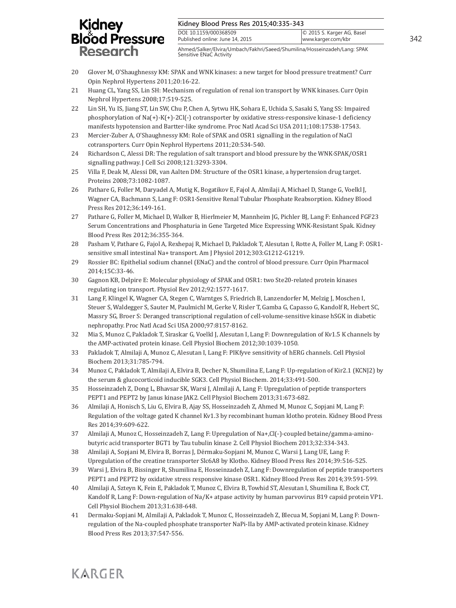#### **Kidney Blood Press Res 2015;40:335-343**

| DOI: 10.1159/000368509<br>Published online: June 14, 2015 | © 2015 S. Karger AG, Basel<br>www.karger.com/kbr | 342 |
|-----------------------------------------------------------|--------------------------------------------------|-----|
|                                                           |                                                  |     |

Ahmed/Salker/Elvira/Umbach/Fakhri/Saeed/Shumilina/Hosseinzadeh/Lang: SPAK Sensitive ENaC Activity

- 20 Glover M, O'Shaughnessy KM: SPAK and WNK kinases: a new target for blood pressure treatment? Curr Opin Nephrol Hypertens 2011;20:16-22.
- 21 Huang CL, Yang SS, Lin SH: Mechanism of regulation of renal ion transport by WNK kinases. Curr Opin Nephrol Hypertens 2008;17:519-525.
- 22 Lin SH, Yu IS, Jiang ST, Lin SW, Chu P, Chen A, Sytwu HK, Sohara E, Uchida S, Sasaki S, Yang SS: Impaired phosphorylation of Na(+)-K(+)-2Cl(-) cotransporter by oxidative stress-responsive kinase-1 deficiency manifests hypotension and Bartter-like syndrome. Proc Natl Acad Sci USA 2011;108:17538-17543.
- 23 Mercier-Zuber A, O'Shaughnessy KM: Role of SPAK and OSR1 signalling in the regulation of NaCl cotransporters. Curr Opin Nephrol Hypertens 2011;20:534-540.
- 24 Richardson C, Alessi DR: The regulation of salt transport and blood pressure by the WNK-SPAK/OSR1 signalling pathway. J Cell Sci 2008;121:3293-3304.
- 25 Villa F, Deak M, Alessi DR, van Aalten DM: Structure of the OSR1 kinase, a hypertension drug target. Proteins 2008;73:1082-1087.
- 26 Pathare G, Foller M, Daryadel A, Mutig K, Bogatikov E, Fajol A, Almilaji A, Michael D, Stange G, Voelkl J, Wagner CA, Bachmann S, Lang F: OSR1-Sensitive Renal Tubular Phosphate Reabsorption. Kidney Blood Press Res 2012;36:149-161.
- 27 Pathare G, Foller M, Michael D, Walker B, Hierlmeier M, Mannheim JG, Pichler BJ, Lang F: Enhanced FGF23 Serum Concentrations and Phosphaturia in Gene Targeted Mice Expressing WNK-Resistant Spak. Kidney Blood Press Res 2012;36:355-364.
- 28 Pasham V, Pathare G, Fajol A, Rexhepaj R, Michael D, Pakladok T, Alesutan I, Rotte A, Foller M, Lang F: OSR1 sensitive small intestinal Na+ transport. Am J Physiol 2012;303:G1212-G1219.
- 29 Rossier BC: Epithelial sodium channel (ENaC) and the control of blood pressure. Curr Opin Pharmacol 2014;15C:33-46.
- 30 Gagnon KB, Delpire E: Molecular physiology of SPAK and OSR1: two Ste20-related protein kinases regulating ion transport. Physiol Rev 2012;92:1577-1617.
- 31 Lang F, Klingel K, Wagner CA, Stegen C, Warntges S, Friedrich B, Lanzendorfer M, Melzig J, Moschen I, Steuer S, Waldegger S, Sauter M, Paulmichl M, Gerke V, Risler T, Gamba G, Capasso G, Kandolf R, Hebert SC, Massry SG, Broer S: Deranged transcriptional regulation of cell-volume-sensitive kinase hSGK in diabetic nephropathy. Proc Natl Acad Sci USA 2000;97:8157-8162.
- 32 Mia S, Munoz C, Pakladok T, Siraskar G, Voelkl J, Alesutan I, Lang F: Downregulation of Kv1.5 K channels by the AMP-activated protein kinase. Cell Physiol Biochem 2012;30:1039-1050.
- 33 Pakladok T, Almilaji A, Munoz C, Alesutan I, Lang F: PIKfyve sensitivity of hERG channels. Cell Physiol Biochem 2013;31:785-794.
- 34 Munoz C, Pakladok T, Almilaji A, Elvira B, Decher N, Shumilina E, Lang F: Up-regulation of Kir2.1 (KCNJ2) by the serum & glucocorticoid inducible SGK3. Cell Physiol Biochem. 2014;33:491-500.
- 35 Hosseinzadeh Z, Dong L, Bhavsar SK, Warsi J, Almilaji A, Lang F: Upregulation of peptide transporters PEPT1 and PEPT2 by Janus kinase JAK2. Cell Physiol Biochem 2013;31:673-682.
- 36 Almilaji A, Honisch S, Liu G, Elvira B, Ajay SS, Hosseinzadeh Z, Ahmed M, Munoz C, Sopjani M, Lang F: Regulation of the voltage gated K channel Kv1.3 by recombinant human klotho protein. Kidney Blood Press Res 2014;39:609-622.
- 37 Almilaji A, Munoz C, Hosseinzadeh Z, Lang F: Upregulation of Na+,Cl(-)-coupled betaine/gamma-aminobutyric acid transporter BGT1 by Tau tubulin kinase 2. Cell Physiol Biochem 2013;32:334-343.
- 38 Almilaji A, Sopjani M, Elvira B, Borras J, Dërmaku-Sopjani M, Munoz C, Warsi J, Lang UE, Lang F: Upregulation of the creatine transporter Slc6A8 by Klotho. Kidney Blood Press Res 2014;39:516-525.
- 39 Warsi J, Elvira B, Bissinger R, Shumilina E, Hosseinzadeh Z, Lang F: Downregulation of peptide transporters PEPT1 and PEPT2 by oxidative stress responsive kinase OSR1. Kidney Blood Press Res 2014;39:591-599.
- 40 Almilaji A, Szteyn K, Fein E, Pakladok T, Munoz C, Elvira B, Towhid ST, Alesutan I, Shumilina E, Bock CT, Kandolf R, Lang F: Down-regulation of Na/K+ atpase activity by human parvovirus B19 capsid protein VP1. Cell Physiol Biochem 2013;31:638-648.
- 41 Dermaku-Sopjani M, Almilaji A, Pakladok T, Munoz C, Hosseinzadeh Z, Blecua M, Sopjani M, Lang F: Downregulation of the Na-coupled phosphate transporter NaPi-IIa by AMP-activated protein kinase. Kidney Blood Press Res 2013;37:547-556.

# **KARGER**